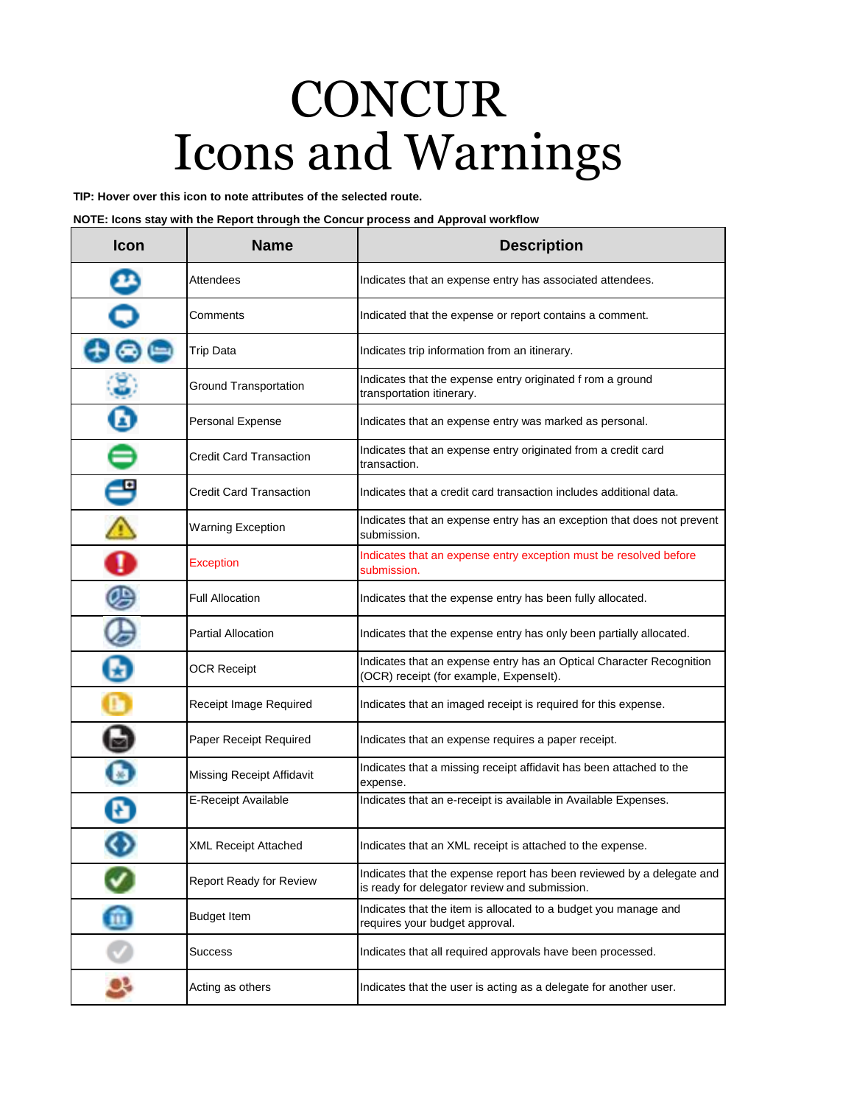## Icons and Warnings **CONCUR**

**TIP: Hover over this icon to note attributes of the selected route.**

**NOTE: Icons stay with the Report through the Concur process and Approval workflow**

| Icon | <b>Name</b>                      | <b>Description</b>                                                                                                     |
|------|----------------------------------|------------------------------------------------------------------------------------------------------------------------|
|      | Attendees                        | Indicates that an expense entry has associated attendees.                                                              |
|      | Comments                         | Indicated that the expense or report contains a comment.                                                               |
|      | <b>Trip Data</b>                 | Indicates trip information from an itinerary.                                                                          |
|      | <b>Ground Transportation</b>     | Indicates that the expense entry originated f rom a ground<br>transportation itinerary.                                |
| G    | Personal Expense                 | Indicates that an expense entry was marked as personal.                                                                |
| ∊    | Credit Card Transaction          | Indicates that an expense entry originated from a credit card<br>transaction.                                          |
| ŋ    | Credit Card Transaction          | Indicates that a credit card transaction includes additional data.                                                     |
|      | <b>Warning Exception</b>         | Indicates that an expense entry has an exception that does not prevent<br>submission.                                  |
|      | <b>Exception</b>                 | Indicates that an expense entry exception must be resolved before<br>submission.                                       |
|      | <b>Full Allocation</b>           | Indicates that the expense entry has been fully allocated.                                                             |
|      | <b>Partial Allocation</b>        | Indicates that the expense entry has only been partially allocated.                                                    |
| 田    | <b>OCR Receipt</b>               | Indicates that an expense entry has an Optical Character Recognition<br>(OCR) receipt (for example, Expenselt).        |
|      | Receipt Image Required           | Indicates that an imaged receipt is required for this expense.                                                         |
|      | Paper Receipt Required           | Indicates that an expense requires a paper receipt.                                                                    |
|      | <b>Missing Receipt Affidavit</b> | Indicates that a missing receipt affidavit has been attached to the<br>expense.                                        |
|      | E-Receipt Available              | Indicates that an e-receipt is available in Available Expenses.                                                        |
|      | <b>XML Receipt Attached</b>      | Indicates that an XML receipt is attached to the expense.                                                              |
|      | <b>Report Ready for Review</b>   | Indicates that the expense report has been reviewed by a delegate and<br>is ready for delegator review and submission. |
| 画    | <b>Budget Item</b>               | Indicates that the item is allocated to a budget you manage and<br>requires your budget approval.                      |
|      | Success                          | Indicates that all required approvals have been processed.                                                             |
|      | Acting as others                 | Indicates that the user is acting as a delegate for another user.                                                      |